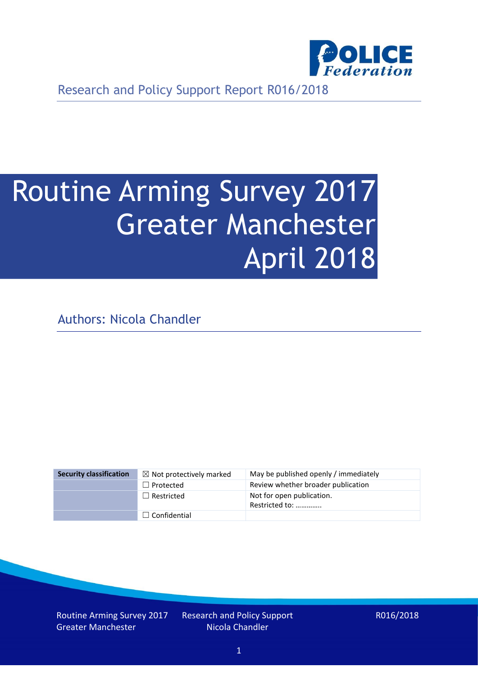

Research and Policy Support Report R016/2018

# Routine Arming Survey 2017 Greater Manchester April 2018

Authors: Nicola Chandler

| <b>Security classification</b> | $\boxtimes$ Not protectively marked | May be published openly / immediately       |
|--------------------------------|-------------------------------------|---------------------------------------------|
|                                | $\Box$ Protected                    | Review whether broader publication          |
|                                | $\Box$ Restricted                   | Not for open publication.<br>Restricted to: |
|                                | $\Box$ Confidential                 |                                             |

Routine Arming Survey 2017 Greater Manchester

Research and Policy Support Nicola Chandler

R016/2018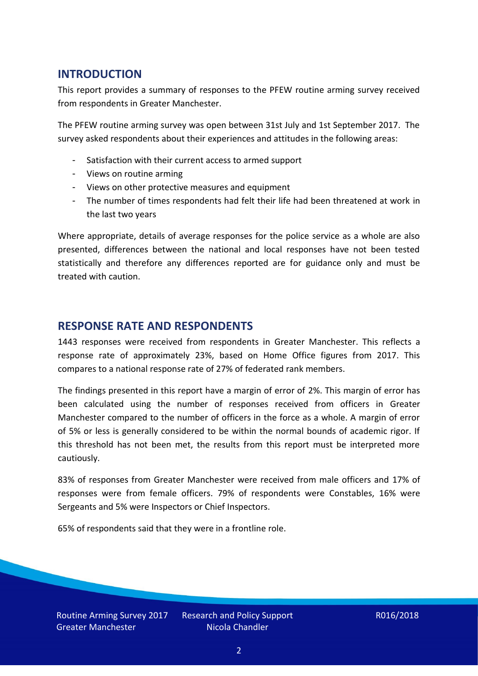# **INTRODUCTION**

This report provides a summary of responses to the PFEW routine arming survey received from respondents in Greater Manchester.

The PFEW routine arming survey was open between 31st July and 1st September 2017. The survey asked respondents about their experiences and attitudes in the following areas:

- Satisfaction with their current access to armed support
- Views on routine arming
- Views on other protective measures and equipment
- The number of times respondents had felt their life had been threatened at work in the last two years

Where appropriate, details of average responses for the police service as a whole are also presented, differences between the national and local responses have not been tested statistically and therefore any differences reported are for guidance only and must be treated with caution.

#### **RESPONSE RATE AND RESPONDENTS**

1443 responses were received from respondents in Greater Manchester. This reflects a response rate of approximately 23%, based on Home Office figures from 2017. This compares to a national response rate of 27% of federated rank members.

The findings presented in this report have a margin of error of 2%. This margin of error has been calculated using the number of responses received from officers in Greater Manchester compared to the number of officers in the force as a whole. A margin of error of 5% or less is generally considered to be within the normal bounds of academic rigor. If this threshold has not been met, the results from this report must be interpreted more cautiously.

83% of responses from Greater Manchester were received from male officers and 17% of responses were from female officers. 79% of respondents were Constables, 16% were Sergeants and 5% were Inspectors or Chief Inspectors.

65% of respondents said that they were in a frontline role.

Routine Arming Survey 2017 Greater Manchester

Research and Policy Support Nicola Chandler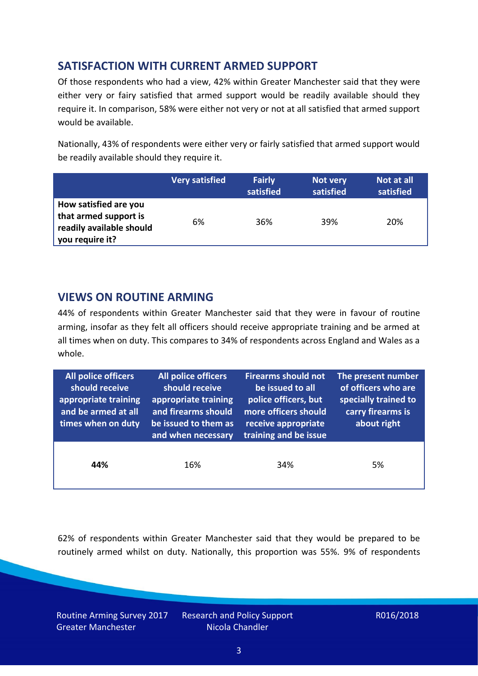# **SATISFACTION WITH CURRENT ARMED SUPPORT**

Of those respondents who had a view, 42% within Greater Manchester said that they were either very or fairy satisfied that armed support would be readily available should they require it. In comparison, 58% were either not very or not at all satisfied that armed support would be available.

Nationally, 43% of respondents were either very or fairly satisfied that armed support would be readily available should they require it.

|                                                                                               | <b>Very satisfied</b> | <b>Fairly</b><br>satisfied | Not very<br>satisfied | Not at all<br>satisfied |
|-----------------------------------------------------------------------------------------------|-----------------------|----------------------------|-----------------------|-------------------------|
| How satisfied are you<br>that armed support is<br>readily available should<br>you require it? | 6%                    | 36%                        | 39%                   | 20%                     |

## **VIEWS ON ROUTINE ARMING**

44% of respondents within Greater Manchester said that they were in favour of routine arming, insofar as they felt all officers should receive appropriate training and be armed at all times when on duty. This compares to 34% of respondents across England and Wales as a whole.

| All police officers<br>should receive<br>appropriate training<br>and be armed at all<br>times when on duty | All police officers<br>should receive<br>appropriate training<br>and firearms should<br>be issued to them as<br>and when necessary | <b>Firearms should not</b><br>be issued to all<br>police officers, but<br>more officers should<br>receive appropriate<br>training and be issue | The present number<br>of officers who are<br>specially trained to<br>carry firearms is<br>about right |  |
|------------------------------------------------------------------------------------------------------------|------------------------------------------------------------------------------------------------------------------------------------|------------------------------------------------------------------------------------------------------------------------------------------------|-------------------------------------------------------------------------------------------------------|--|
| 44%                                                                                                        | 16%                                                                                                                                | 34%                                                                                                                                            | 5%                                                                                                    |  |

62% of respondents within Greater Manchester said that they would be prepared to be routinely armed whilst on duty. Nationally, this proportion was 55%. 9% of respondents

Routine Arming Survey 2017 Greater Manchester

Research and Policy Support Nicola Chandler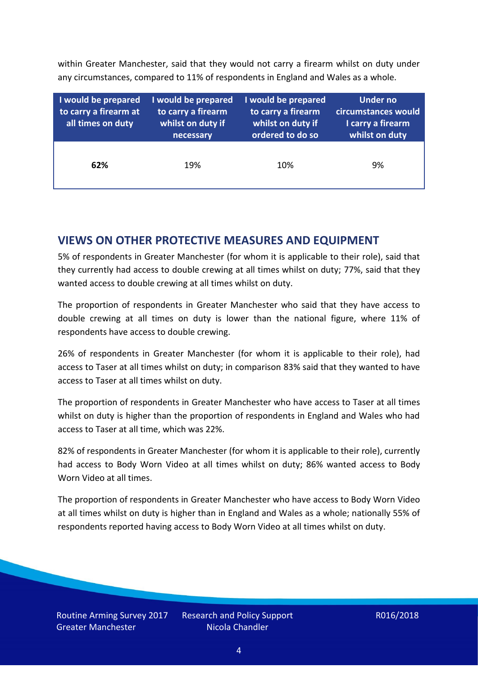within Greater Manchester, said that they would not carry a firearm whilst on duty under any circumstances, compared to 11% of respondents in England and Wales as a whole.

| I would be prepared<br>to carry a firearm at<br>all times on duty | I would be prepared<br>to carry a firearm<br>whilst on duty if<br>necessary | I would be prepared<br>to carry a firearm<br>whilst on duty if<br>ordered to do so | <b>Under no</b><br>circumstances would<br>I carry a firearm<br>whilst on duty |  |
|-------------------------------------------------------------------|-----------------------------------------------------------------------------|------------------------------------------------------------------------------------|-------------------------------------------------------------------------------|--|
| 62%                                                               | 19%                                                                         | 10%                                                                                | 9%                                                                            |  |

## **VIEWS ON OTHER PROTECTIVE MEASURES AND EQUIPMENT**

5% of respondents in Greater Manchester (for whom it is applicable to their role), said that they currently had access to double crewing at all times whilst on duty; 77%, said that they wanted access to double crewing at all times whilst on duty.

The proportion of respondents in Greater Manchester who said that they have access to double crewing at all times on duty is lower than the national figure, where 11% of respondents have access to double crewing.

26% of respondents in Greater Manchester (for whom it is applicable to their role), had access to Taser at all times whilst on duty; in comparison 83% said that they wanted to have access to Taser at all times whilst on duty.

The proportion of respondents in Greater Manchester who have access to Taser at all times whilst on duty is higher than the proportion of respondents in England and Wales who had access to Taser at all time, which was 22%.

82% of respondents in Greater Manchester (for whom it is applicable to their role), currently had access to Body Worn Video at all times whilst on duty; 86% wanted access to Body Worn Video at all times.

The proportion of respondents in Greater Manchester who have access to Body Worn Video at all times whilst on duty is higher than in England and Wales as a whole; nationally 55% of respondents reported having access to Body Worn Video at all times whilst on duty.

Routine Arming Survey 2017 Greater Manchester

Research and Policy Support Nicola Chandler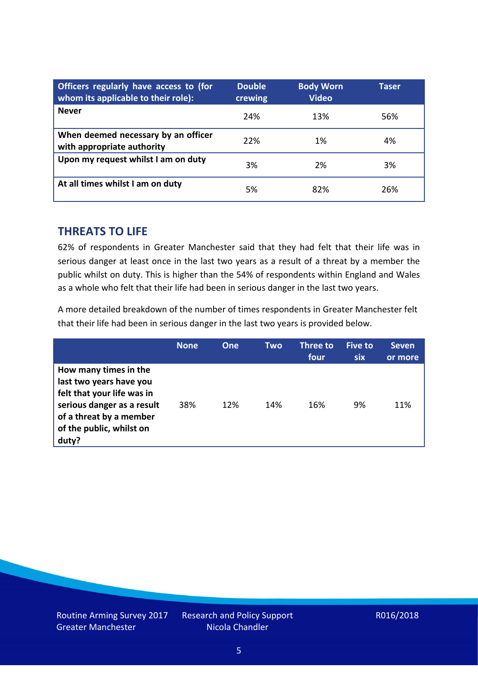| Officers regularly have access to (for<br>whom its applicable to their role): | <b>Double</b><br>crewing | <b>Body Worn</b><br><b>Video</b> | Taser |
|-------------------------------------------------------------------------------|--------------------------|----------------------------------|-------|
| <b>Never</b>                                                                  | 24%                      | 13%                              | 56%   |
| When deemed necessary by an officer<br>with appropriate authority             | 22%                      | 1%                               | 4%    |
| Upon my request whilst I am on duty                                           | 3%                       | 2%                               | 3%    |
| At all times whilst I am on duty                                              | 5%                       | 82%                              | 26%   |

#### **THREATS TO LIFE**

62% of respondents in Greater Manchester said that they had felt that their life was in serious danger at least once in the last two years as a result of a threat by a member the public whilst on duty. This is higher than the 54% of respondents within England and Wales as a whole who felt that their life had been in serious danger in the last two years.

A more detailed breakdown of the number of times respondents in Greater Manchester felt that their life had been in serious danger in the last two years is provided below.

|                                                                                                                                                                              | <b>None</b> | One | Two | Three to<br>four | Five to<br><b>six</b> | <b>Seven</b><br>or more |
|------------------------------------------------------------------------------------------------------------------------------------------------------------------------------|-------------|-----|-----|------------------|-----------------------|-------------------------|
| How many times in the<br>last two years have you<br>felt that your life was in<br>serious danger as a result<br>of a threat by a member<br>of the public, whilst on<br>duty? | 38%         | 12% | 14% | 16%              | 9%                    | 11%                     |

Routine Arming Survey 2017 Greater Manchester

Research and Policy Support Nicola Chandler

#### R016/2018